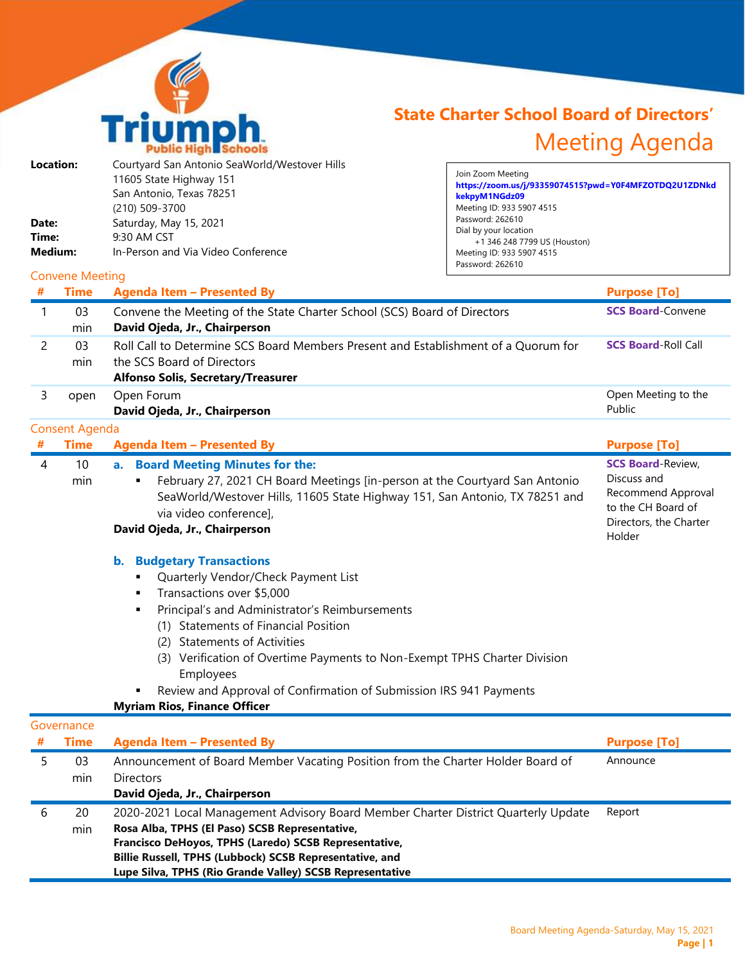

## **State Charter School Board of Directors'** Meeting Agenda

| Location: | Courtyard San Antonio SeaWorld/Westover Hills |
|-----------|-----------------------------------------------|
|           | 11605 State Highway 151                       |
|           | San Antonio, Texas 78251                      |
|           | (210) 509-3700                                |
| Date:     | Saturday, May 15, 2021                        |
| Time:     | 9:30 AM CST                                   |
| Medium:   | In-Person and Via Video Conference            |
|           |                                               |

Join Zoom Meeting **https://zoom.us/j/93359074515?pwd=Y0F4MFZOTDQ2U1ZDNkd kekpyM1NGdz09** Meeting ID: 933 5907 4515 Password: 262610 Dial by your location +1 346 248 7799 US (Houston) Meeting ID: 933 5907 4515 Password: 262610  $\mathcal{F}_{\mathcal{A}}$  is a subset of the set of the set of the set of the set of the set of the set of the set of the set of the set of the set of the set of the set of the set of the set of the set of the set of the set of the

## Convene Meeting

| #              | <b>Time</b>           | <b>Agenda Item - Presented By</b>                                                                                                                                                                                                                                                                                                                                                                                                                         | <b>Purpose [To]</b>                                                                                                     |
|----------------|-----------------------|-----------------------------------------------------------------------------------------------------------------------------------------------------------------------------------------------------------------------------------------------------------------------------------------------------------------------------------------------------------------------------------------------------------------------------------------------------------|-------------------------------------------------------------------------------------------------------------------------|
| 1              | 03<br>min             | Convene the Meeting of the State Charter School (SCS) Board of Directors<br>David Ojeda, Jr., Chairperson                                                                                                                                                                                                                                                                                                                                                 | <b>SCS Board-Convene</b>                                                                                                |
| $\overline{c}$ | 03<br>min             | Roll Call to Determine SCS Board Members Present and Establishment of a Quorum for<br>the SCS Board of Directors<br><b>Alfonso Solis, Secretary/Treasurer</b>                                                                                                                                                                                                                                                                                             | <b>SCS Board-Roll Call</b>                                                                                              |
| 3              | open                  | Open Forum<br>David Ojeda, Jr., Chairperson                                                                                                                                                                                                                                                                                                                                                                                                               | Open Meeting to the<br>Public                                                                                           |
|                | <b>Consent Agenda</b> |                                                                                                                                                                                                                                                                                                                                                                                                                                                           |                                                                                                                         |
| #              | <b>Time</b>           | <b>Agenda Item - Presented By</b>                                                                                                                                                                                                                                                                                                                                                                                                                         | <b>Purpose [To]</b>                                                                                                     |
| 4              | 10<br>min             | a. Board Meeting Minutes for the:<br>February 27, 2021 CH Board Meetings [in-person at the Courtyard San Antonio<br>SeaWorld/Westover Hills, 11605 State Highway 151, San Antonio, TX 78251 and<br>via video conference],<br>David Ojeda, Jr., Chairperson                                                                                                                                                                                                | <b>SCS Board-Review,</b><br>Discuss and<br>Recommend Approval<br>to the CH Board of<br>Directors, the Charter<br>Holder |
|                |                       | <b>Budgetary Transactions</b><br>$\mathbf{b}$ .<br>Quarterly Vendor/Check Payment List<br>Transactions over \$5,000<br>Principal's and Administrator's Reimbursements<br>٠<br>(1) Statements of Financial Position<br>(2) Statements of Activities<br>(3) Verification of Overtime Payments to Non-Exempt TPHS Charter Division<br>Employees<br>Review and Approval of Confirmation of Submission IRS 941 Payments<br><b>Myriam Rios, Finance Officer</b> |                                                                                                                         |
|                | Governance            |                                                                                                                                                                                                                                                                                                                                                                                                                                                           |                                                                                                                         |
| #              | <b>Time</b>           | <b>Agenda Item - Presented By</b>                                                                                                                                                                                                                                                                                                                                                                                                                         | <b>Purpose [To]</b>                                                                                                     |
| 5              | 03<br>min             | Announcement of Board Member Vacating Position from the Charter Holder Board of<br>Directors<br>David Ojeda, Jr., Chairperson                                                                                                                                                                                                                                                                                                                             | Announce                                                                                                                |
| 6              | 20<br>min             | 2020-2021 Local Management Advisory Board Member Charter District Quarterly Update<br>Rosa Alba, TPHS (El Paso) SCSB Representative,<br>Francisco DeHoyos, TPHS (Laredo) SCSB Representative,<br>Billie Russell, TPHS (Lubbock) SCSB Representative, and<br>Lupe Silva, TPHS (Rio Grande Valley) SCSB Representative                                                                                                                                      | Report                                                                                                                  |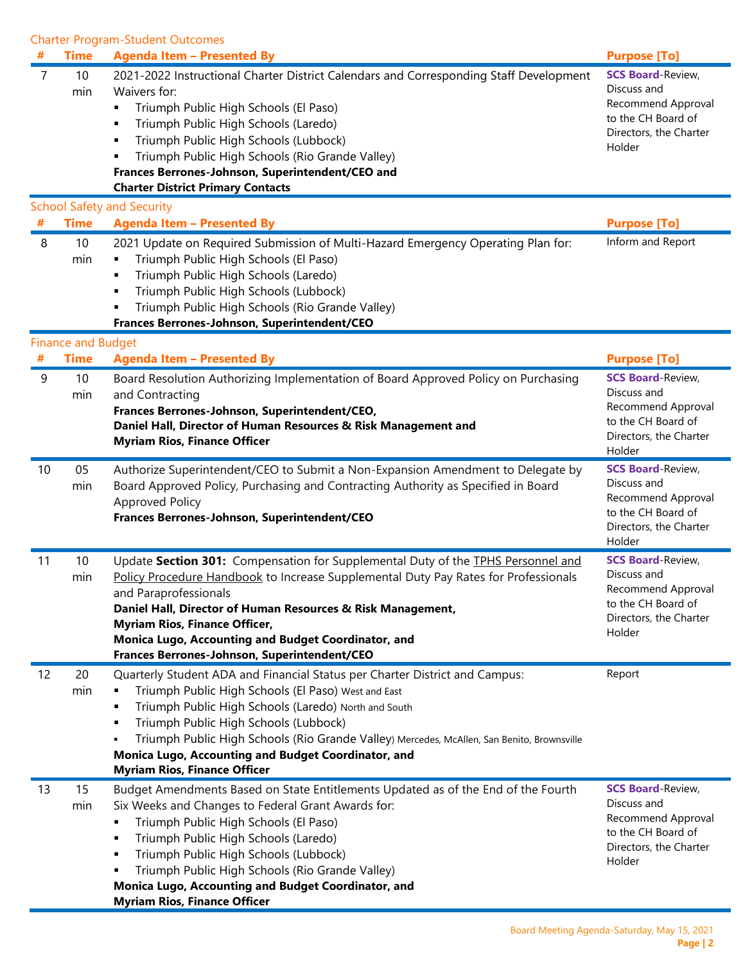Charter Program-Student Outcomes

| #      | <b>Time</b>               | <b>Agenda Item - Presented By</b>                                                                                                                                                                                                                                                                                                                                                                                                              | <b>Purpose [To]</b>                                                                                                     |
|--------|---------------------------|------------------------------------------------------------------------------------------------------------------------------------------------------------------------------------------------------------------------------------------------------------------------------------------------------------------------------------------------------------------------------------------------------------------------------------------------|-------------------------------------------------------------------------------------------------------------------------|
| 7      | 10<br>min                 | 2021-2022 Instructional Charter District Calendars and Corresponding Staff Development<br>Waivers for:<br>Triumph Public High Schools (El Paso)<br>٠<br>Triumph Public High Schools (Laredo)<br>٠<br>Triumph Public High Schools (Lubbock)<br>٠<br>Triumph Public High Schools (Rio Grande Valley)<br>Frances Berrones-Johnson, Superintendent/CEO and<br><b>Charter District Primary Contacts</b>                                             | <b>SCS Board-Review,</b><br>Discuss and<br>Recommend Approval<br>to the CH Board of<br>Directors, the Charter<br>Holder |
| #      | <b>Time</b>               | <b>School Safety and Security</b><br><b>Agenda Item - Presented By</b>                                                                                                                                                                                                                                                                                                                                                                         | <b>Purpose [To]</b>                                                                                                     |
| 8      | 10<br>min                 | 2021 Update on Required Submission of Multi-Hazard Emergency Operating Plan for:<br>Triumph Public High Schools (El Paso)<br>٠<br>Triumph Public High Schools (Laredo)<br>٠<br>Triumph Public High Schools (Lubbock)<br>٠<br>Triumph Public High Schools (Rio Grande Valley)<br>Frances Berrones-Johnson, Superintendent/CEO                                                                                                                   | Inform and Report                                                                                                       |
|        | <b>Finance and Budget</b> |                                                                                                                                                                                                                                                                                                                                                                                                                                                |                                                                                                                         |
| #<br>9 | <b>Time</b><br>10         | <b>Agenda Item - Presented By</b><br>Board Resolution Authorizing Implementation of Board Approved Policy on Purchasing                                                                                                                                                                                                                                                                                                                        | <b>Purpose [To]</b><br><b>SCS Board-Review,</b>                                                                         |
|        | min                       | and Contracting<br>Frances Berrones-Johnson, Superintendent/CEO,<br>Daniel Hall, Director of Human Resources & Risk Management and<br><b>Myriam Rios, Finance Officer</b>                                                                                                                                                                                                                                                                      | Discuss and<br>Recommend Approval<br>to the CH Board of<br>Directors, the Charter<br>Holder                             |
| 10     | 05<br>min                 | Authorize Superintendent/CEO to Submit a Non-Expansion Amendment to Delegate by<br>Board Approved Policy, Purchasing and Contracting Authority as Specified in Board<br><b>Approved Policy</b><br>Frances Berrones-Johnson, Superintendent/CEO                                                                                                                                                                                                 | <b>SCS Board-Review,</b><br>Discuss and<br>Recommend Approval<br>to the CH Board of<br>Directors, the Charter<br>Holder |
| 11     | 10<br>min                 | Update Section 301: Compensation for Supplemental Duty of the TPHS Personnel and<br>Policy Procedure Handbook to Increase Supplemental Duty Pay Rates for Professionals<br>and Paraprofessionals<br>Daniel Hall, Director of Human Resources & Risk Management,<br><b>Myriam Rios, Finance Officer,</b><br>Monica Lugo, Accounting and Budget Coordinator, and<br>Frances Berrones-Johnson, Superintendent/CEO                                 | <b>SCS Board-Review,</b><br>Discuss and<br>Recommend Approval<br>to the CH Board of<br>Directors, the Charter<br>Holder |
| 12     | 20<br>min                 | Quarterly Student ADA and Financial Status per Charter District and Campus:<br>Triumph Public High Schools (El Paso) West and East<br>٠<br>Triumph Public High Schools (Laredo) North and South<br>٠<br>Triumph Public High Schools (Lubbock)<br>٠<br>Triumph Public High Schools (Rio Grande Valley) Mercedes, McAllen, San Benito, Brownsville<br>Monica Lugo, Accounting and Budget Coordinator, and<br><b>Myriam Rios, Finance Officer</b> | Report                                                                                                                  |
| 13     | 15<br>min                 | Budget Amendments Based on State Entitlements Updated as of the End of the Fourth<br>Six Weeks and Changes to Federal Grant Awards for:<br>Triumph Public High Schools (El Paso)<br>٠<br>Triumph Public High Schools (Laredo)<br>٠<br>Triumph Public High Schools (Lubbock)<br>٠<br>Triumph Public High Schools (Rio Grande Valley)<br>٠<br>Monica Lugo, Accounting and Budget Coordinator, and<br><b>Myriam Rios, Finance Officer</b>         | <b>SCS Board-Review,</b><br>Discuss and<br>Recommend Approval<br>to the CH Board of<br>Directors, the Charter<br>Holder |